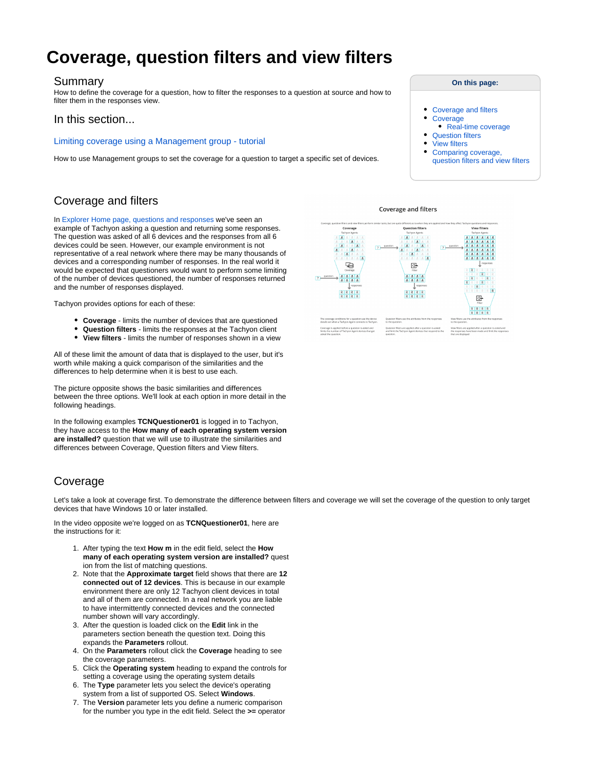# **Coverage, question filters and view filters**

## Summary

How to define the coverage for a question, how to filter the responses to a question at source and how to filter them in the responses view.

## In this section...

#### [Limiting coverage using a Management group - tutorial](https://help.1e.com/display/TCN51/Limiting+coverage+using+a+Management+group+-+tutorial)

How to use Management groups to set the coverage for a question to target a specific set of devices.

# <span id="page-0-0"></span>Coverage and filters

In [Explorer Home page, questions and responses](https://help.1e.com/display/TCN51/Explorer+Home+page%2C+questions+and+responses) we've seen an example of Tachyon asking a question and returning some responses. The question was asked of all 6 devices and the responses from all 6 devices could be seen. However, our example environment is not representative of a real network where there may be many thousands of devices and a corresponding number of responses. In the real world it would be expected that questioners would want to perform some limiting of the number of devices questioned, the number of responses returned and the number of responses displayed.

Tachyon provides options for each of these:

- **Coverage** limits the number of devices that are questioned
- **Question filters** limits the responses at the Tachyon client
- **View filters** limits the number of responses shown in a view

All of these limit the amount of data that is displayed to the user, but it's worth while making a quick comparison of the similarities and the differences to help determine when it is best to use each.

The picture opposite shows the basic similarities and differences between the three options. We'll look at each option in more detail in the following headings.

In the following examples **TCNQuestioner01** is logged in to Tachyon, they have access to the **How many of each operating system version are installed?** question that we will use to illustrate the similarities and differences between Coverage, Question filters and View filters.

# <span id="page-0-1"></span>Coverage

Let's take a look at coverage first. To demonstrate the difference between filters and coverage we will set the coverage of the question to only target devices that have Windows 10 or later installed.

In the video opposite we're logged on as **TCNQuestioner01**, here are the instructions for it:

- 1. After typing the text **How m** in the edit field, select the **How many of each operating system version are installed?** quest ion from the list of matching questions.
- 2. Note that the **Approximate target** field shows that there are **12 connected out of 12 devices**. This is because in our example environment there are only 12 Tachyon client devices in total and all of them are connected. In a real network you are liable to have intermittently connected devices and the connected number shown will vary accordingly.
- 3. After the question is loaded click on the **Edit** link in the parameters section beneath the question text. Doing this expands the **Parameters** rollout.
- 4. On the **Parameters** rollout click the **Coverage** heading to see the coverage parameters.
- 5. Click the **Operating system** heading to expand the controls for setting a coverage using the operating system details
- 6. The **Type** parameter lets you select the device's operating system from a list of supported OS. Select **Windows**.
- 7. The **Version** parameter lets you define a numeric comparison for the number you type in the edit field. Select the **>=** operator

**Coverage and filters** 





- $\bullet$ [Coverage and filters](#page-0-0)
- **[Coverage](#page-0-1)** 
	- [Real-time coverage](#page-1-0)
- [Question filters](#page-1-1)
- [View filters](#page-1-2)
- [Comparing coverage,](#page-2-0)
- [question filters and view filters](#page-2-0)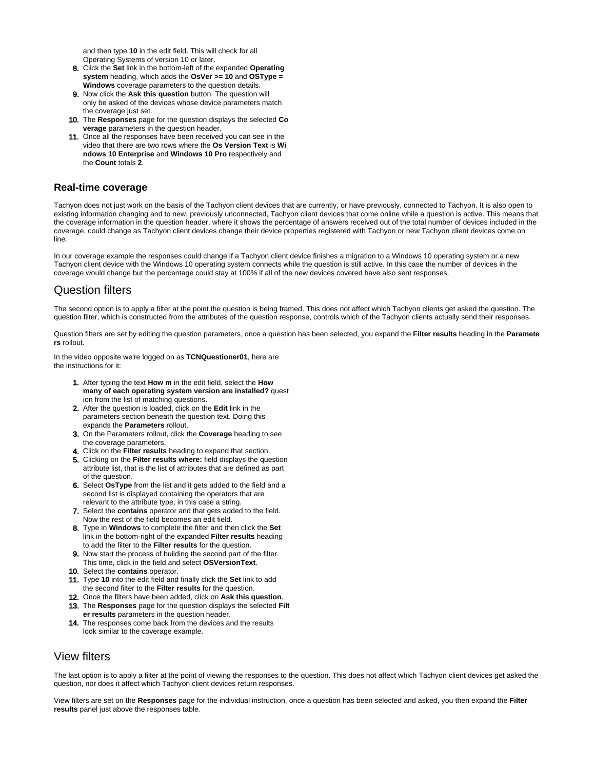and then type **10** in the edit field. This will check for all Operating Systems of version 10 or later.

- 8. Click the **Set** link in the bottom-left of the expanded **Operating system** heading, which adds the **OsVer >= 10** and **OSType = Windows** coverage parameters to the question details.
- 9. Now click the **Ask this question** button. The question will only be asked of the devices whose device parameters match the coverage just set.
- 10. The **Responses** page for the question displays the selected **Co verage** parameters in the question header.
- 11. Once all the responses have been received you can see in the video that there are two rows where the **Os Version Text** is **Wi ndows 10 Enterprise** and **Windows 10 Pro** respectively and the **Count** totals **2**.

## <span id="page-1-0"></span>**Real-time coverage**

Tachyon does not just work on the basis of the Tachyon client devices that are currently, or have previously, connected to Tachyon. It is also open to existing information changing and to new, previously unconnected, Tachyon client devices that come online while a question is active. This means that the coverage information in the question header, where it shows the percentage of answers received out of the total number of devices included in the coverage, could change as Tachyon client devices change their device properties registered with Tachyon or new Tachyon client devices come on line.

In our coverage example the responses could change if a Tachyon client device finishes a migration to a Windows 10 operating system or a new Tachyon client device with the Windows 10 operating system connects while the question is still active. In this case the number of devices in the coverage would change but the percentage could stay at 100% if all of the new devices covered have also sent responses.

## <span id="page-1-1"></span>Question filters

The second option is to apply a filter at the point the question is being framed. This does not affect which Tachyon clients get asked the question. The question filter, which is constructed from the attributes of the question response, controls which of the Tachyon clients actually send their responses.

Question filters are set by editing the question parameters, once a question has been selected, you expand the **Filter results** heading in the **Paramete rs** rollout.

In the video opposite we're logged on as **TCNQuestioner01**, here are the instructions for it:

- 1. After typing the text **How m** in the edit field, select the **How many of each operating system version are installed?** quest ion from the list of matching questions.
- 2. After the question is loaded, click on the **Edit** link in the parameters section beneath the question text. Doing this expands the **Parameters** rollout.
- 3. On the Parameters rollout, click the **Coverage** heading to see the coverage parameters.
- 4. Click on the **Filter results** heading to expand that section.
- 5. Clicking on the **Filter results where:** field displays the question attribute list, that is the list of attributes that are defined as part of the question.
- 6. Select **OsType** from the list and it gets added to the field and a second list is displayed containing the operators that are relevant to the attribute type, in this case a string.
- 7. Select the **contains** operator and that gets added to the field. Now the rest of the field becomes an edit field.
- 8. Type in **Windows** to complete the filter and then click the **Set** link in the bottom-right of the expanded **Filter results** heading to add the filter to the **Filter results** for the question.
- 9. Now start the process of building the second part of the filter. This time, click in the field and select **OSVersionText**.
- 10. Select the **contains** operator.
- 11. Type **10** into the edit field and finally click the **Set** link to add the second filter to the **Filter results** for the question.
- 12. Once the filters have been added, click on **Ask this question**.
- 13. The **Responses** page for the question displays the selected **Filt er results** parameters in the question header.
- 14. The responses come back from the devices and the results look similar to the coverage example.

## <span id="page-1-2"></span>View filters

The last option is to apply a filter at the point of viewing the responses to the question. This does not affect which Tachyon client devices get asked the question, nor does it affect which Tachyon client devices return responses.

View filters are set on the **Responses** page for the individual instruction, once a question has been selected and asked, you then expand the **Filter results** panel just above the responses table.